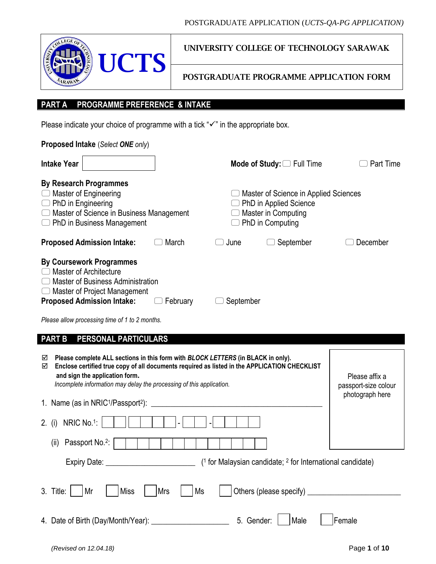| LEGE OF<br>۰. |  |
|---------------|--|
|               |  |

UNIVERSITY COLLEGE OF TECHNOLOGY SARAWAK

POSTGRADUATE PROGRAMME APPLICATION FORM

# **PART A PROGRAMME PREFERENCE & INTAKE**

Please indicate your choice of programme with a tick " $\checkmark$ " in the appropriate box.

| Proposed Intake (Select ONE only)                                                                                                                                                                                                                                                                    |                                                                                                            |                                                           |
|------------------------------------------------------------------------------------------------------------------------------------------------------------------------------------------------------------------------------------------------------------------------------------------------------|------------------------------------------------------------------------------------------------------------|-----------------------------------------------------------|
| <b>Intake Year</b>                                                                                                                                                                                                                                                                                   | Mode of Study: $\Box$ Full Time                                                                            | Part Time                                                 |
| <b>By Research Programmes</b><br><b>Master of Engineering</b><br>$\Box$ PhD in Engineering<br>$\Box$ Master of Science in Business Management<br>$\Box$ PhD in Business Management                                                                                                                   | Master of Science in Applied Sciences<br>PhD in Applied Science<br>Master in Computing<br>PhD in Computing |                                                           |
| <b>Proposed Admission Intake:</b><br>March                                                                                                                                                                                                                                                           | September<br>June                                                                                          | December                                                  |
| <b>By Coursework Programmes</b><br><b>Master of Architecture</b><br><b>Master of Business Administration</b><br>$\Box$ Master of Project Management<br><b>Proposed Admission Intake:</b><br>February<br>Please allow processing time of 1 to 2 months.                                               | September                                                                                                  |                                                           |
| <b>PART B</b><br>PERSONAL PARTICULARS                                                                                                                                                                                                                                                                |                                                                                                            |                                                           |
| Please complete ALL sections in this form with BLOCK LETTERS (in BLACK in only).<br>☑<br>Enclose certified true copy of all documents required as listed in the APPLICATION CHECKLIST<br>☑<br>and sign the application form.<br>Incomplete information may delay the processing of this application. |                                                                                                            | Please affix a<br>passport-size colour<br>photograph here |
| 1. Name (as in NRIC <sup>1</sup> /Passport <sup>2</sup> ):                                                                                                                                                                                                                                           |                                                                                                            |                                                           |
| NRIC No.1:<br>2. (i)                                                                                                                                                                                                                                                                                 |                                                                                                            |                                                           |
| Passport No. <sup>2</sup> :<br>(ii)                                                                                                                                                                                                                                                                  |                                                                                                            |                                                           |
| Expiry Date:                                                                                                                                                                                                                                                                                         | $(1$ for Malaysian candidate; $2$ for International candidate)                                             |                                                           |

| 3. Title: Mr Miss Mrs Ms Others (please specify) |                        |  |
|--------------------------------------------------|------------------------|--|
|                                                  |                        |  |
| 4. Date of Birth (Day/Month/Year):               | 5. Gender: Male Female |  |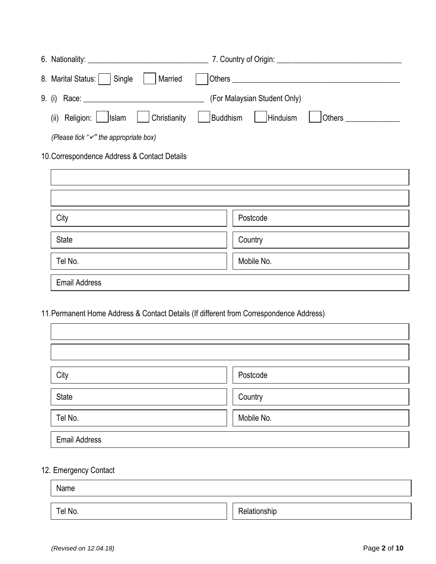| 6. Nationality: <u>Alexander School and Charles and Charles and Charles and Charles and Charles and Charles and Charles and Charles and Charles and Charles and Charles and Charles and Charles and Charles and Charles and Char</u> | 7. Country of Origin:        |  |  |
|--------------------------------------------------------------------------------------------------------------------------------------------------------------------------------------------------------------------------------------|------------------------------|--|--|
| 8. Marital Status:   Single<br>  Married                                                                                                                                                                                             |                              |  |  |
|                                                                                                                                                                                                                                      | (For Malaysian Student Only) |  |  |
| (ii) Religion:    Islam     Christianity    Buddhism    Hinduism                                                                                                                                                                     | <b>Others Community</b>      |  |  |
| (Please tick " $\checkmark$ " the appropriate box)                                                                                                                                                                                   |                              |  |  |

# 10.Correspondence Address & Contact Details

| City                 | Postcode   |
|----------------------|------------|
| State                | Country    |
| Tel No.              | Mobile No. |
| <b>Email Address</b> |            |

11.Permanent Home Address & Contact Details (If different from Correspondence Address)

| City                 | Postcode   |
|----------------------|------------|
| State                | Country    |
| Tel No.              | Mobile No. |
| <b>Email Address</b> |            |

# 12. Emergency Contact

| Name    |              |
|---------|--------------|
| Tel No. | Relationship |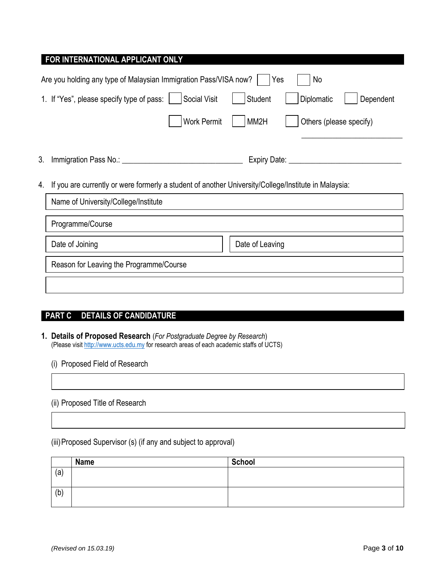| FOR INTERNATIONAL APPLICANT ONLY                                                                           |                                    |  |  |  |  |
|------------------------------------------------------------------------------------------------------------|------------------------------------|--|--|--|--|
| Are you holding any type of Malaysian Immigration Pass/VISA now?<br>Yes<br>No                              |                                    |  |  |  |  |
| <b>Social Visit</b><br>1. If "Yes", please specify type of pass:                                           | Student<br>Diplomatic<br>Dependent |  |  |  |  |
| <b>Work Permit</b>                                                                                         | Others (please specify)<br>MM2H    |  |  |  |  |
| 3.<br>Immigration Pass No.: 1994                                                                           | Expiry Date: _____________         |  |  |  |  |
| If you are currently or were formerly a student of another University/College/Institute in Malaysia:<br>4. |                                    |  |  |  |  |
| Name of University/College/Institute                                                                       |                                    |  |  |  |  |
| Programme/Course                                                                                           |                                    |  |  |  |  |
| Date of Joining<br>Date of Leaving                                                                         |                                    |  |  |  |  |
| Reason for Leaving the Programme/Course                                                                    |                                    |  |  |  |  |
|                                                                                                            |                                    |  |  |  |  |

# **PART C DETAILS OF CANDIDATURE**

**1. Details of Proposed Research** (*For Postgraduate Degree by Research*) (Please visi[t http://www.ucts.edu.my](http://www.ucts.edu.my/) for research areas of each academic staffs of UCTS)

#### (i) Proposed Field of Research

#### (ii) Proposed Title of Research

(iii)Proposed Supervisor (s) (if any and subject to approval)

|     | <b>Name</b> | <b>School</b> |
|-----|-------------|---------------|
| (a) |             |               |
| (b) |             |               |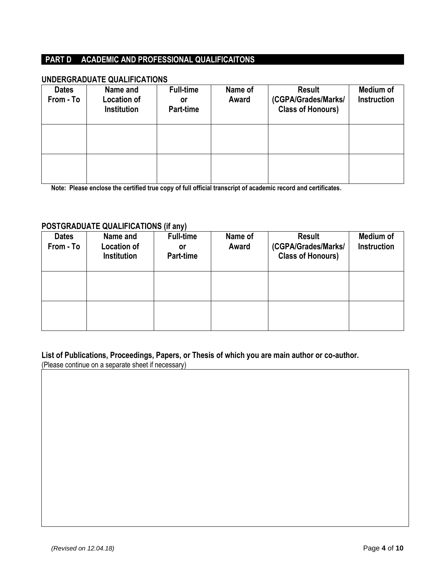### **PART D ACADEMIC AND PROFESSIONAL QUALIFICAITONS**

#### **UNDERGRADUATE QUALIFICATIONS**

| <b>Dates</b><br>From - To | Name and<br><b>Location of</b><br><b>Institution</b> | <b>Full-time</b><br>or<br>Part-time | Name of<br>Award | <b>Result</b><br>(CGPA/Grades/Marks/<br><b>Class of Honours)</b> | Medium of<br>Instruction |
|---------------------------|------------------------------------------------------|-------------------------------------|------------------|------------------------------------------------------------------|--------------------------|
|                           |                                                      |                                     |                  |                                                                  |                          |
|                           |                                                      |                                     |                  |                                                                  |                          |

**Note: Please enclose the certified true copy of full official transcript of academic record and certificates.**

#### **POSTGRADUATE QUALIFICATIONS (if any)**

| <b>Dates</b><br>From - To | Name and<br><b>Location of</b><br><b>Institution</b> | <b>Full-time</b><br>or<br>Part-time | Name of<br>Award | <b>Result</b><br>(CGPA/Grades/Marks/<br><b>Class of Honours)</b> | <b>Medium of</b><br>Instruction |
|---------------------------|------------------------------------------------------|-------------------------------------|------------------|------------------------------------------------------------------|---------------------------------|
|                           |                                                      |                                     |                  |                                                                  |                                 |
|                           |                                                      |                                     |                  |                                                                  |                                 |

### **List of Publications, Proceedings, Papers, or Thesis of which you are main author or co-author.**

(Please continue on a separate sheet if necessary)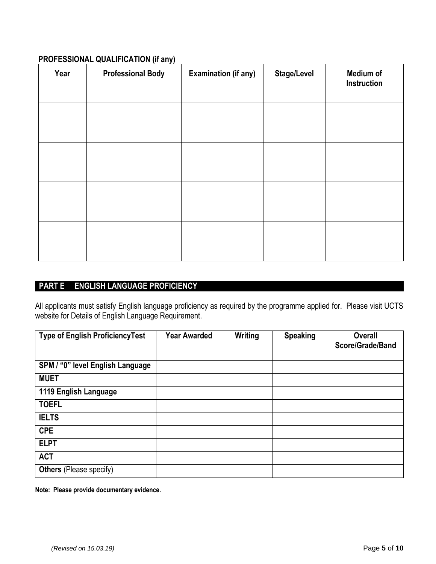#### **PROFESSIONAL QUALIFICATION (if any)**

| Year | <b>Professional Body</b> | <b>Examination (if any)</b> | <b>Stage/Level</b> | Medium of<br>Instruction |
|------|--------------------------|-----------------------------|--------------------|--------------------------|
|      |                          |                             |                    |                          |
|      |                          |                             |                    |                          |
|      |                          |                             |                    |                          |
|      |                          |                             |                    |                          |

# **PART E ENGLISH LANGUAGE PROFICIENCY**

All applicants must satisfy English language proficiency as required by the programme applied for. Please visit UCTS website for Details of English Language Requirement.

| <b>Type of English ProficiencyTest</b> | <b>Year Awarded</b> | Writing | <b>Speaking</b> | Overall<br>Score/Grade/Band |
|----------------------------------------|---------------------|---------|-----------------|-----------------------------|
| SPM / "0" level English Language       |                     |         |                 |                             |
| <b>MUET</b>                            |                     |         |                 |                             |
| 1119 English Language                  |                     |         |                 |                             |
| <b>TOEFL</b>                           |                     |         |                 |                             |
| <b>IELTS</b>                           |                     |         |                 |                             |
| <b>CPE</b>                             |                     |         |                 |                             |
| <b>ELPT</b>                            |                     |         |                 |                             |
| <b>ACT</b>                             |                     |         |                 |                             |
| <b>Others</b> (Please specify)         |                     |         |                 |                             |

**Note: Please provide documentary evidence.**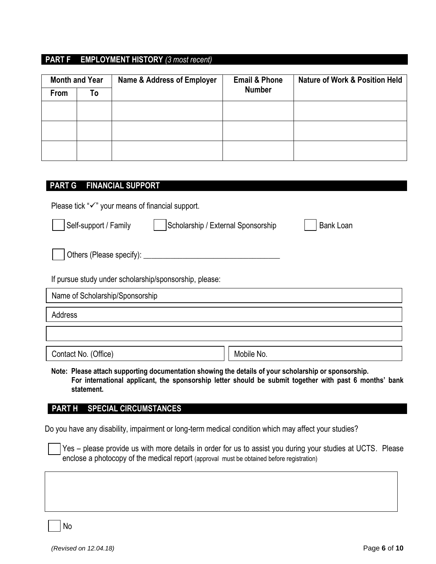### **PART F EMPLOYMENT HISTORY** *(3 most recent)*

| <b>Month and Year</b> |    | <b>Name &amp; Address of Employer</b> | <b>Email &amp; Phone</b> | <b>Nature of Work &amp; Position Held</b> |
|-----------------------|----|---------------------------------------|--------------------------|-------------------------------------------|
| From                  | To |                                       | <b>Number</b>            |                                           |
|                       |    |                                       |                          |                                           |
|                       |    |                                       |                          |                                           |
|                       |    |                                       |                          |                                           |
|                       |    |                                       |                          |                                           |

### **PART G FINANCIAL SUPPORT**

Please tick " $\checkmark$ " your means of financial support.

| Self-support / Family                                  | Scholarship / External Sponsorship | <b>Bank Loan</b> |
|--------------------------------------------------------|------------------------------------|------------------|
| Others (Please specify): _______                       |                                    |                  |
| If pursue study under scholarship/sponsorship, please: |                                    |                  |
| Name of Scholarship/Sponsorship                        |                                    |                  |
| Address                                                |                                    |                  |
|                                                        |                                    |                  |

Contact No. (Office) and the contact No. (Office)

**Note: Please attach supporting documentation showing the details of your scholarship or sponsorship. For international applicant, the sponsorship letter should be submit together with past 6 months' bank statement.** 

### **PART H SPECIAL CIRCUMSTANCES**

Do you have any disability, impairment or long-term medical condition which may affect your studies?

Yes – please provide us with more details in order for us to assist you during your studies at UCTS. Please enclose a photocopy of the medical report (approval must be obtained before registration)

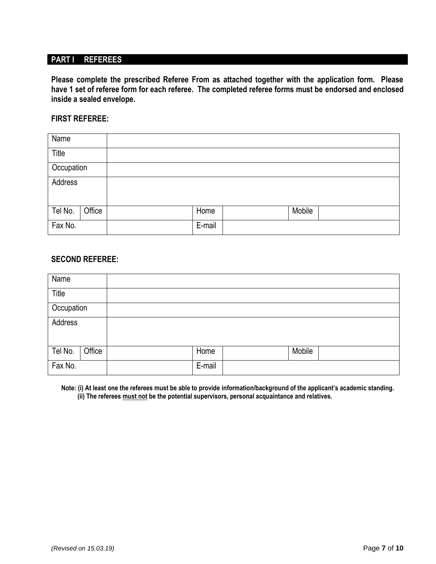### **PART I REFEREES**

**Please complete the prescribed Referee From as attached together with the application form. Please have 1 set of referee form for each referee. The completed referee forms must be endorsed and enclosed inside a sealed envelope.** 

#### **FIRST REFEREE:**

| Name       |        |        |        |  |
|------------|--------|--------|--------|--|
| Title      |        |        |        |  |
| Occupation |        |        |        |  |
| Address    |        |        |        |  |
| Tel No.    | Office | Home   | Mobile |  |
| Fax No.    |        | E-mail |        |  |

#### **SECOND REFEREE:**

| Name       |        |        |        |  |
|------------|--------|--------|--------|--|
| Title      |        |        |        |  |
| Occupation |        |        |        |  |
| Address    |        |        |        |  |
| Tel No.    | Office | Home   | Mobile |  |
| Fax No.    |        | E-mail |        |  |

**Note: (i) At least one the referees must be able to provide information/background of the applicant's academic standing. (ii) The referees must not be the potential supervisors, personal acquaintance and relatives.**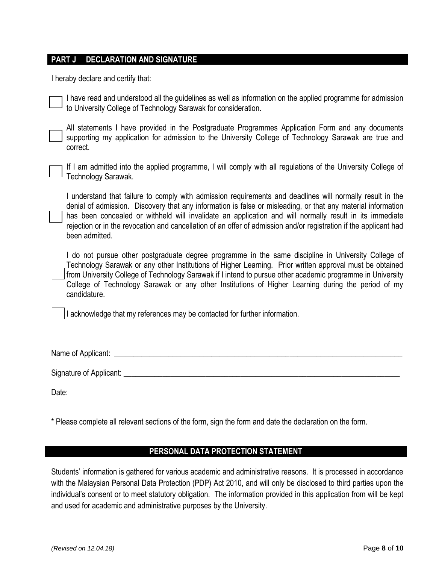#### **PART J DECLARATION AND SIGNATURE**

I heraby declare and certify that:

I have read and understood all the guidelines as well as information on the applied programme for admission to University College of Technology Sarawak for consideration.

All statements I have provided in the Postgraduate Programmes Application Form and any documents supporting my application for admission to the University College of Technology Sarawak are true and correct.

If I am admitted into the applied programme, I will comply with all regulations of the University College of Technology Sarawak.

I understand that failure to comply with admission requirements and deadlines will normally result in the denial of admission. Discovery that any information is false or misleading, or that any material information has been concealed or withheld will invalidate an application and will normally result in its immediate rejection or in the revocation and cancellation of an offer of admission and/or registration if the applicant had been admitted.

I do not pursue other postgraduate degree programme in the same discipline in University College of Technology Sarawak or any other Institutions of Higher Learning. Prior written approval must be obtained from University College of Technology Sarawak if I intend to pursue other academic programme in University College of Technology Sarawak or any other Institutions of Higher Learning during the period of my candidature.

I acknowledge that my references may be contacted for further information.

Name of Applicant:  $\blacksquare$ 

Signature of Applicant: \_\_\_\_\_\_\_\_\_\_\_\_\_\_\_\_\_\_\_\_\_\_\_\_\_\_\_\_\_\_\_\_\_\_\_\_\_\_\_\_\_\_\_\_\_\_\_\_\_\_\_\_\_\_\_\_\_\_\_\_\_\_\_\_\_\_\_\_\_\_\_

Date:

\* Please complete all relevant sections of the form, sign the form and date the declaration on the form.

#### **PERSONAL DATA PROTECTION STATEMENT**

Students' information is gathered for various academic and administrative reasons. It is processed in accordance with the Malaysian Personal Data Protection (PDP) Act 2010, and will only be disclosed to third parties upon the individual's consent or to meet statutory obligation. The information provided in this application from will be kept and used for academic and administrative purposes by the University.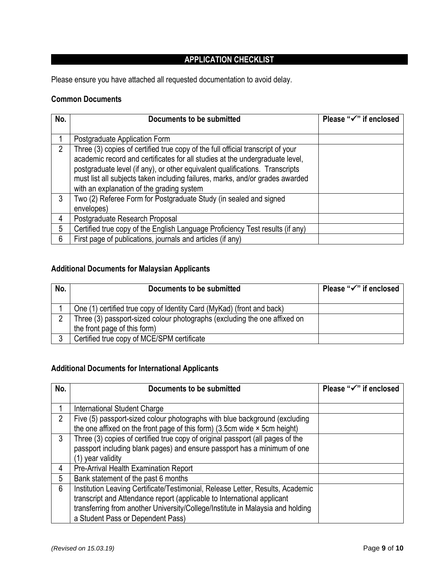# **APPLICATION CHECKLIST**

Please ensure you have attached all requested documentation to avoid delay.

#### **Common Documents**

| No. | Documents to be submitted                                                                                                                                                                                                                                                                                                                                                     | Please "√" if enclosed |
|-----|-------------------------------------------------------------------------------------------------------------------------------------------------------------------------------------------------------------------------------------------------------------------------------------------------------------------------------------------------------------------------------|------------------------|
|     | Postgraduate Application Form                                                                                                                                                                                                                                                                                                                                                 |                        |
| 2   | Three (3) copies of certified true copy of the full official transcript of your<br>academic record and certificates for all studies at the undergraduate level,<br>postgraduate level (if any), or other equivalent qualifications. Transcripts<br>must list all subjects taken including failures, marks, and/or grades awarded<br>with an explanation of the grading system |                        |
| 3   | Two (2) Referee Form for Postgraduate Study (in sealed and signed<br>envelopes)                                                                                                                                                                                                                                                                                               |                        |
| 4   | Postgraduate Research Proposal                                                                                                                                                                                                                                                                                                                                                |                        |
| 5   | Certified true copy of the English Language Proficiency Test results (if any)                                                                                                                                                                                                                                                                                                 |                        |
| 6   | First page of publications, journals and articles (if any)                                                                                                                                                                                                                                                                                                                    |                        |

# **Additional Documents for Malaysian Applicants**

| No. | Documents to be submitted                                                 | Please "√" if enclosed |
|-----|---------------------------------------------------------------------------|------------------------|
|     | One (1) certified true copy of Identity Card (MyKad) (front and back)     |                        |
| っ   | Three (3) passport-sized colour photographs (excluding the one affixed on |                        |
|     | the front page of this form)                                              |                        |
| 3   | Certified true copy of MCE/SPM certificate                                |                        |

### **Additional Documents for International Applicants**

| No.            | Documents to be submitted                                                           | Please "√" if enclosed |
|----------------|-------------------------------------------------------------------------------------|------------------------|
|                |                                                                                     |                        |
|                | International Student Charge                                                        |                        |
| $\overline{2}$ | Five (5) passport-sized colour photographs with blue background (excluding          |                        |
|                | the one affixed on the front page of this form) $(3.5cm)$ wide $\times$ 5cm height) |                        |
| 3              | Three (3) copies of certified true copy of original passport (all pages of the      |                        |
|                | passport including blank pages) and ensure passport has a minimum of one            |                        |
|                | (1) year validity                                                                   |                        |
| 4              | Pre-Arrival Health Examination Report                                               |                        |
| 5              | Bank statement of the past 6 months                                                 |                        |
| 6              | Institution Leaving Certificate/Testimonial, Release Letter, Results, Academic      |                        |
|                | transcript and Attendance report (applicable to International applicant             |                        |
|                | transferring from another University/College/Institute in Malaysia and holding      |                        |
|                | a Student Pass or Dependent Pass)                                                   |                        |